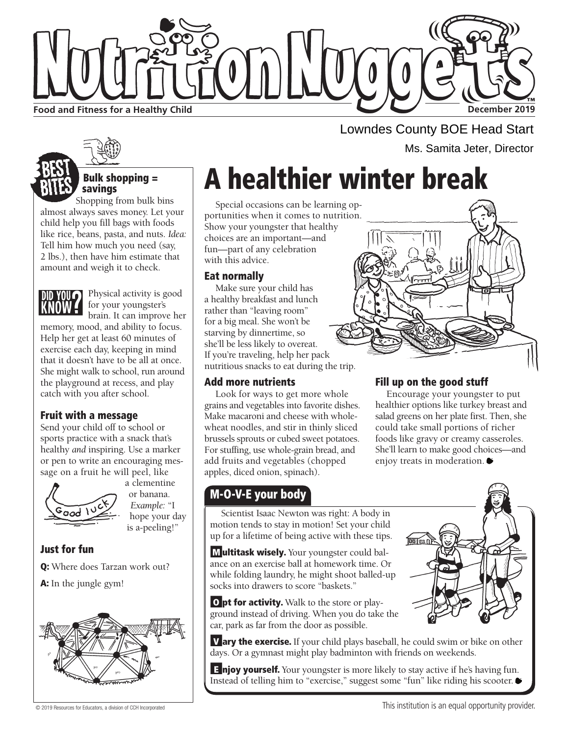

Lowndes County BOE Head Start Ms. Samita Jeter, Director

# A healthier winter break

Special occasions can be learning opportunities when it comes to nutrition. Show your youngster that healthy choices are an important—and fun—part of any celebration with this advice.

#### Eat normally

Make sure your child has a healthy breakfast and lunch rather than "leaving room" for a big meal. She won't be starving by dinnertime, so she'll be less likely to overeat. If you're traveling, help her pack nutritious snacks to eat during the trip.

#### Add more nutrients

Look for ways to get more whole grains and vegetables into favorite dishes. Make macaroni and cheese with wholewheat noodles, and stir in thinly sliced brussels sprouts or cubed sweet potatoes. For stuffing, use whole-grain bread, and add fruits and vegetables (chopped apples, diced onion, spinach).

### M-O-V-E your body

### Fill up on the good stuff

Encourage your youngster to put healthier options like turkey breast and salad greens on her plate first. Then, she could take small portions of richer foods like gravy or creamy casseroles. She'll learn to make good choices—and enjoy treats in moderation.

Scientist Isaac Newton was right: A body in motion tends to stay in motion! Set your child up for a lifetime of being active with these tips.

**Multitask wisely.** Your youngster could balance on an exercise ball at homework time. Or while folding laundry, he might shoot balled-up socks into drawers to score "baskets."

**O pt for activity.** Walk to the store or playground instead of driving. When you do take the car, park as far from the door as possible.

**V** ary the exercise. If your child plays baseball, he could swim or bike on other days. Or a gymnast might play badminton with friends on weekends.

**E** njoy yourself. Your youngster is more likely to stay active if he's having fun. Instead of telling him to "exercise," suggest some "fun" like riding his scooter.



#### Bulk shopping = savings

Shopping from bulk bins almost always saves money. Let your child help you fill bags with foods like rice, beans, pasta, and nuts. *Idea:*  Tell him how much you need (say, 2 lbs.), then have him estimate that amount and weigh it to check.



#### Physical activity is good for your youngster's

brain. It can improve her memory, mood, and ability to focus. Help her get at least 60 minutes of exercise each day, keeping in mind that it doesn't have to be all at once. She might walk to school, run around the playground at recess, and play catch with you after school.

#### Fruit with a message

Send your child off to school or sports practice with a snack that's healthy *and* inspiring. Use a marker or pen to write an encouraging message on a fruit he will peel, like



a clementine or banana. *Example:* "I hope your day is a-peeling!"

#### Just for fun

Q: Where does Tarzan work out?

A: In the jungle gym!



© 2019 Resources for Educators, a division of CCH Incorporated